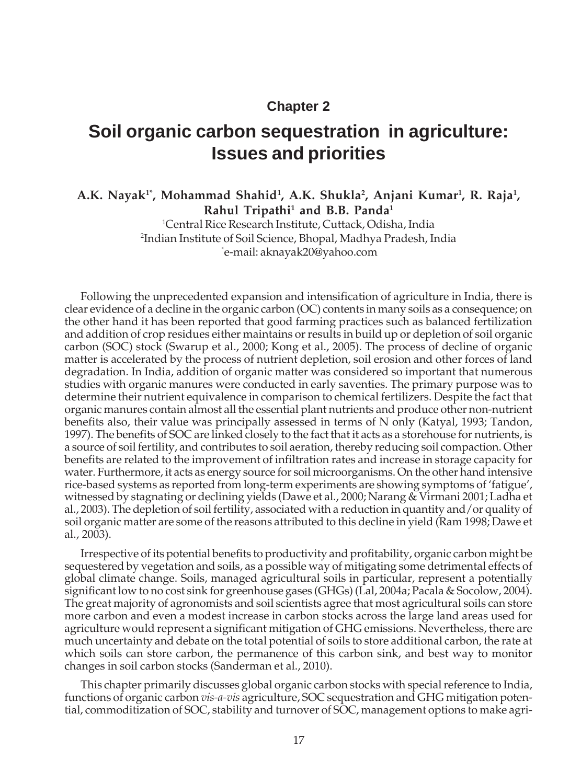#### **Chapter 2**

# **Soil organic carbon sequestration in agriculture: Issues and priorities**

#### A.K. Nayak<sup>1\*</sup>, Mohammad Shahid<sup>1</sup>, A.K. Shukla<sup>2</sup>, Anjani Kumar<sup>1</sup>, R. Raja<sup>1</sup>, **Rahul Tripathi1 and B.B. Panda1**

1 Central Rice Research Institute, Cuttack, Odisha, India 2 Indian Institute of Soil Science, Bhopal, Madhya Pradesh, India \* e-mail: aknayak20@yahoo.com

Following the unprecedented expansion and intensification of agriculture in India, there is clear evidence of a decline in the organic carbon (OC) contents in many soils as a consequence; on the other hand it has been reported that good farming practices such as balanced fertilization and addition of crop residues either maintains or results in build up or depletion of soil organic carbon (SOC) stock (Swarup et al., 2000; Kong et al., 2005). The process of decline of organic matter is accelerated by the process of nutrient depletion, soil erosion and other forces of land degradation. In India, addition of organic matter was considered so important that numerous studies with organic manures were conducted in early saventies. The primary purpose was to determine their nutrient equivalence in comparison to chemical fertilizers. Despite the fact that organic manures contain almost all the essential plant nutrients and produce other non-nutrient benefits also, their value was principally assessed in terms of N only (Katyal, 1993; Tandon, 1997). The benefits of SOC are linked closely to the fact that it acts as a storehouse for nutrients, is a source of soil fertility, and contributes to soil aeration, thereby reducing soil compaction. Other benefits are related to the improvement of infiltration rates and increase in storage capacity for water. Furthermore, it acts as energy source for soil microorganisms. On the other hand intensive rice-based systems as reported from long-term experiments are showing symptoms of 'fatigue', witnessed by stagnating or declining yields (Dawe et al., 2000; Narang & Virmani 2001; Ladha et al., 2003). The depletion of soil fertility, associated with a reduction in quantity and/or quality of soil organic matter are some of the reasons attributed to this decline in yield (Ram 1998; Dawe et al., 2003).

Irrespective of its potential benefits to productivity and profitability, organic carbon might be sequestered by vegetation and soils, as a possible way of mitigating some detrimental effects of global climate change. Soils, managed agricultural soils in particular, represent a potentially significant low to no cost sink for greenhouse gases (GHGs) (Lal, 2004a; Pacala & Socolow, 2004). The great majority of agronomists and soil scientists agree that most agricultural soils can store more carbon and even a modest increase in carbon stocks across the large land areas used for agriculture would represent a significant mitigation of GHG emissions. Nevertheless, there are much uncertainty and debate on the total potential of soils to store additional carbon, the rate at which soils can store carbon, the permanence of this carbon sink, and best way to monitor changes in soil carbon stocks (Sanderman et al., 2010).

This chapter primarily discusses global organic carbon stocks with special reference to India, functions of organic carbon *vis-a-vis* agriculture, SOC sequestration and GHG mitigation potential, commoditization of SOC, stability and turnover of SOC, management options to make agri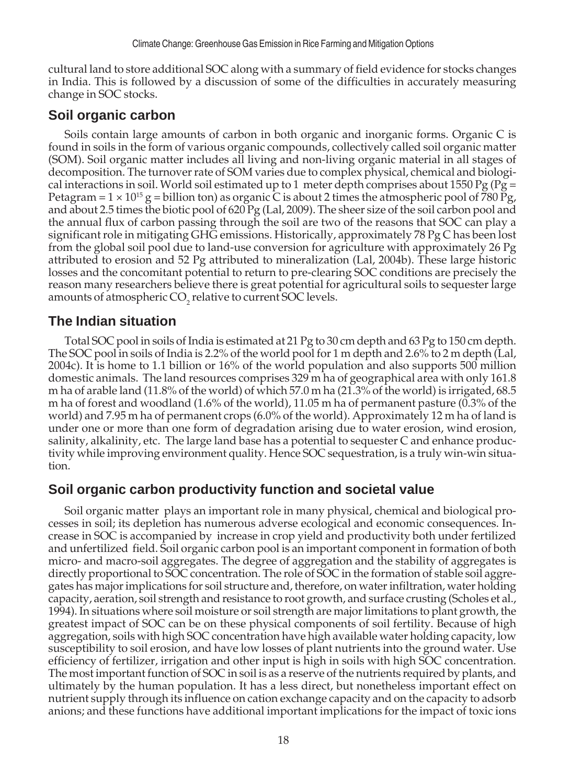cultural land to store additional SOC along with a summary of field evidence for stocks changes in India. This is followed by a discussion of some of the difficulties in accurately measuring change in SOC stocks.

#### **Soil organic carbon**

Soils contain large amounts of carbon in both organic and inorganic forms. Organic C is found in soils in the form of various organic compounds, collectively called soil organic matter (SOM). Soil organic matter includes all living and non-living organic material in all stages of decomposition. The turnover rate of SOM varies due to complex physical, chemical and biological interactions in soil. World soil estimated up to 1 meter depth comprises about 1550 Pg (Pg = Petagram =  $1 \times 10^{15}$  g = billion ton) as organic C is about 2 times the atmospheric pool of 780 Pg, and about 2.5 times the biotic pool of 620 Pg (Lal, 2009). The sheer size of the soil carbon pool and the annual flux of carbon passing through the soil are two of the reasons that SOC can play a significant role in mitigating GHG emissions. Historically, approximately 78 Pg C has been lost from the global soil pool due to land-use conversion for agriculture with approximately 26 Pg attributed to erosion and 52 Pg attributed to mineralization (Lal, 2004b). These large historic losses and the concomitant potential to return to pre-clearing SOC conditions are precisely the reason many researchers believe there is great potential for agricultural soils to sequester large amounts of atmospheric  $\mathrm{CO}_2$  relative to current SOC levels.

## **The Indian situation**

Total SOC pool in soils of India is estimated at 21 Pg to 30 cm depth and 63 Pg to 150 cm depth. The SOC pool in soils of India is 2.2% of the world pool for 1 m depth and 2.6% to 2 m depth (Lal, 2004c). It is home to 1.1 billion or 16% of the world population and also supports 500 million domestic animals. The land resources comprises 329 m ha of geographical area with only 161.8 m ha of arable land (11.8% of the world) of which 57.0 m ha (21.3% of the world) is irrigated, 68.5 m ha of forest and woodland (1.6% of the world), 11.05 m ha of permanent pasture (0.3% of the world) and 7.95 m ha of permanent crops (6.0% of the world). Approximately 12 m ha of land is under one or more than one form of degradation arising due to water erosion, wind erosion, salinity, alkalinity, etc. The large land base has a potential to sequester C and enhance productivity while improving environment quality. Hence SOC sequestration, is a truly win-win situation.

## **Soil organic carbon productivity function and societal value**

Soil organic matter plays an important role in many physical, chemical and biological processes in soil; its depletion has numerous adverse ecological and economic consequences. Increase in SOC is accompanied by increase in crop yield and productivity both under fertilized and unfertilized field. Soil organic carbon pool is an important component in formation of both micro- and macro-soil aggregates. The degree of aggregation and the stability of aggregates is directly proportional to SOC concentration. The role of SOC in the formation of stable soil aggregates has major implications for soil structure and, therefore, on water infiltration, water holding capacity, aeration, soil strength and resistance to root growth, and surface crusting (Scholes et al., 1994). In situations where soil moisture or soil strength are major limitations to plant growth, the greatest impact of SOC can be on these physical components of soil fertility. Because of high aggregation, soils with high SOC concentration have high available water holding capacity, low susceptibility to soil erosion, and have low losses of plant nutrients into the ground water. Use efficiency of fertilizer, irrigation and other input is high in soils with high SOC concentration. The most important function of SOC in soil is as a reserve of the nutrients required by plants, and ultimately by the human population. It has a less direct, but nonetheless important effect on nutrient supply through its influence on cation exchange capacity and on the capacity to adsorb anions; and these functions have additional important implications for the impact of toxic ions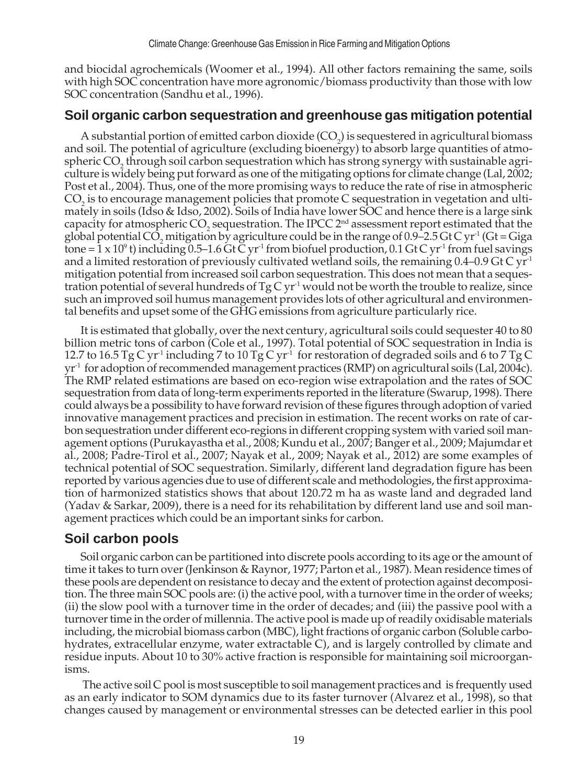and biocidal agrochemicals (Woomer et al., 1994). All other factors remaining the same, soils with high SOC concentration have more agronomic/biomass productivity than those with low SOC concentration (Sandhu et al., 1996).

## **Soil organic carbon sequestration and greenhouse gas mitigation potential**

A substantial portion of emitted carbon dioxide  $(CO_2)$  is sequestered in agricultural biomass and soil. The potential of agriculture (excluding bioenergy) to absorb large quantities of atmospheric  $CO_2$  through soil carbon sequestration which has strong synergy with sustainable agriculture is widely being put forward as one of the mitigating options for climate change (Lal, 2002; Post et al., 2004). Thus, one of the more promising ways to reduce the rate of rise in atmospheric  $CO<sub>2</sub>$  is to encourage management policies that promote C sequestration in vegetation and ultimately in soils (Idso & Idso, 2002). Soils of India have lower SOC and hence there is a large sink capacity for atmospheric  $CO_2$  sequestration. The IPCC  $2<sup>nd</sup>$  assessment report estimated that the global potential  $CO_2$  mitigation by agriculture could be in the range of 0.9–2.5 Gt C yr<sup>-1</sup> (Gt = Giga tone = 1 x 10<sup>9</sup> t) including 0.5–1.6 Gt C yr<sup>-1</sup> from biofuel production, 0.1 Gt C yr<sup>-1</sup> from fuel savings and a limited restoration of previously cultivated wetland soils, the remaining  $0.4$ –0.9 Gt C yr<sup>-1</sup> mitigation potential from increased soil carbon sequestration. This does not mean that a sequestration potential of several hundreds of  $Tg C yr<sup>-1</sup>$  would not be worth the trouble to realize, since such an improved soil humus management provides lots of other agricultural and environmental benefits and upset some of the GHG emissions from agriculture particularly rice.

It is estimated that globally, over the next century, agricultural soils could sequester 40 to 80 billion metric tons of carbon (Cole et al., 1997). Total potential of SOC sequestration in India is 12.7 to 16.5 Tg C yr<sup>-1</sup> including 7 to 10 Tg C yr<sup>-1</sup> for restoration of degraded soils and 6 to 7 Tg C  $yr<sup>-1</sup>$  for adoption of recommended management practices (RMP) on agricultural soils (Lal, 2004c). The RMP related estimations are based on eco-region wise extrapolation and the rates of SOC sequestration from data of long-term experiments reported in the literature (Swarup, 1998). There could always be a possibility to have forward revision of these figures through adoption of varied innovative management practices and precision in estimation. The recent works on rate of carbon sequestration under different eco-regions in different cropping system with varied soil management options (Purukayastha et al., 2008; Kundu et al., 2007; Banger et al., 2009; Majumdar et al., 2008; Padre-Tirol et al., 2007; Nayak et al., 2009; Nayak et al., 2012) are some examples of technical potential of SOC sequestration. Similarly, different land degradation figure has been reported by various agencies due to use of different scale and methodologies, the first approximation of harmonized statistics shows that about 120.72 m ha as waste land and degraded land (Yadav & Sarkar, 2009), there is a need for its rehabilitation by different land use and soil management practices which could be an important sinks for carbon.

# **Soil carbon pools**

Soil organic carbon can be partitioned into discrete pools according to its age or the amount of time it takes to turn over (Jenkinson & Raynor, 1977; Parton et al., 1987). Mean residence times of these pools are dependent on resistance to decay and the extent of protection against decomposition. The three main SOC pools are: (i) the active pool, with a turnover time in the order of weeks; (ii) the slow pool with a turnover time in the order of decades; and (iii) the passive pool with a turnover time in the order of millennia. The active pool is made up of readily oxidisable materials including, the microbial biomass carbon (MBC), light fractions of organic carbon (Soluble carbohydrates, extracellular enzyme, water extractable C), and is largely controlled by climate and residue inputs. About 10 to 30% active fraction is responsible for maintaining soil microorganisms.

 The active soil C pool is most susceptible to soil management practices and is frequently used as an early indicator to SOM dynamics due to its faster turnover (Alvarez et al., 1998), so that changes caused by management or environmental stresses can be detected earlier in this pool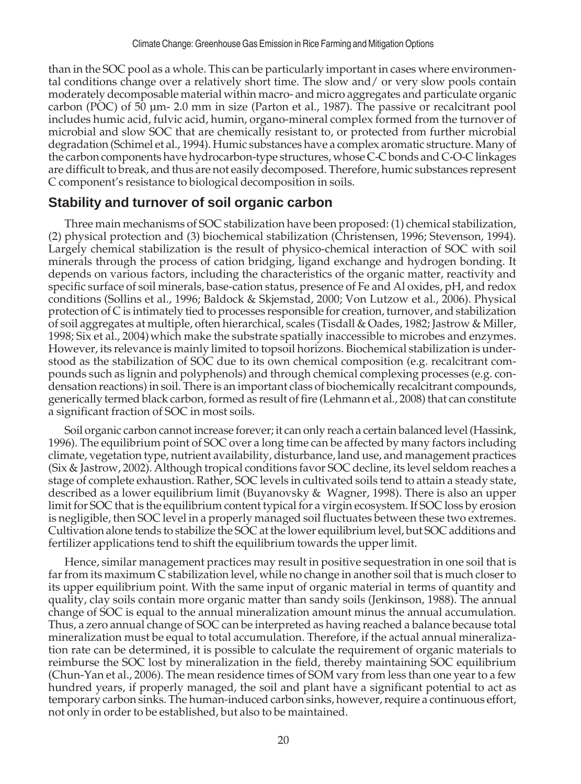than in the SOC pool as a whole. This can be particularly important in cases where environmental conditions change over a relatively short time. The slow and/ or very slow pools contain moderately decomposable material within macro- and micro aggregates and particulate organic carbon (POC) of 50 µm- 2.0 mm in size (Parton et al., 1987). The passive or recalcitrant pool includes humic acid, fulvic acid, humin, organo-mineral complex formed from the turnover of microbial and slow SOC that are chemically resistant to, or protected from further microbial degradation (Schimel et al., 1994). Humic substances have a complex aromatic structure. Many of the carbon components have hydrocarbon-type structures, whose C-C bonds and C-O-C linkages are difficult to break, and thus are not easily decomposed. Therefore, humic substances represent C component's resistance to biological decomposition in soils.

## **Stability and turnover of soil organic carbon**

Three main mechanisms of SOC stabilization have been proposed: (1) chemical stabilization, (2) physical protection and (3) biochemical stabilization (Christensen, 1996; Stevenson, 1994). Largely chemical stabilization is the result of physico-chemical interaction of SOC with soil minerals through the process of cation bridging, ligand exchange and hydrogen bonding. It depends on various factors, including the characteristics of the organic matter, reactivity and specific surface of soil minerals, base-cation status, presence of Fe and Al oxides, pH, and redox conditions (Sollins et al., 1996; Baldock & Skjemstad, 2000; Von Lutzow et al., 2006). Physical protection of C is intimately tied to processes responsible for creation, turnover, and stabilization of soil aggregates at multiple, often hierarchical, scales (Tisdall & Oades, 1982; Jastrow & Miller, 1998; Six et al., 2004) which make the substrate spatially inaccessible to microbes and enzymes. However, its relevance is mainly limited to topsoil horizons. Biochemical stabilization is understood as the stabilization of SOC due to its own chemical composition (e.g. recalcitrant compounds such as lignin and polyphenols) and through chemical complexing processes (e.g. condensation reactions) in soil. There is an important class of biochemically recalcitrant compounds, generically termed black carbon, formed as result of fire (Lehmann et al., 2008) that can constitute a significant fraction of SOC in most soils.

Soil organic carbon cannot increase forever; it can only reach a certain balanced level (Hassink, 1996). The equilibrium point of SOC over a long time can be affected by many factors including climate, vegetation type, nutrient availability, disturbance, land use, and management practices (Six & Jastrow, 2002). Although tropical conditions favor SOC decline, its level seldom reaches a stage of complete exhaustion. Rather, SOC levels in cultivated soils tend to attain a steady state, described as a lower equilibrium limit (Buyanovsky & Wagner, 1998). There is also an upper limit for SOC that is the equilibrium content typical for a virgin ecosystem. If SOC loss by erosion is negligible, then SOC level in a properly managed soil fluctuates between these two extremes. Cultivation alone tends to stabilize the SOC at the lower equilibrium level, but SOC additions and fertilizer applications tend to shift the equilibrium towards the upper limit.

Hence, similar management practices may result in positive sequestration in one soil that is far from its maximum C stabilization level, while no change in another soil that is much closer to its upper equilibrium point. With the same input of organic material in terms of quantity and quality, clay soils contain more organic matter than sandy soils (Jenkinson, 1988). The annual change of SOC is equal to the annual mineralization amount minus the annual accumulation. Thus, a zero annual change of SOC can be interpreted as having reached a balance because total mineralization must be equal to total accumulation. Therefore, if the actual annual mineralization rate can be determined, it is possible to calculate the requirement of organic materials to reimburse the SOC lost by mineralization in the field, thereby maintaining SOC equilibrium (Chun-Yan et al., 2006). The mean residence times of SOM vary from less than one year to a few hundred years, if properly managed, the soil and plant have a significant potential to act as temporary carbon sinks. The human-induced carbon sinks, however, require a continuous effort, not only in order to be established, but also to be maintained.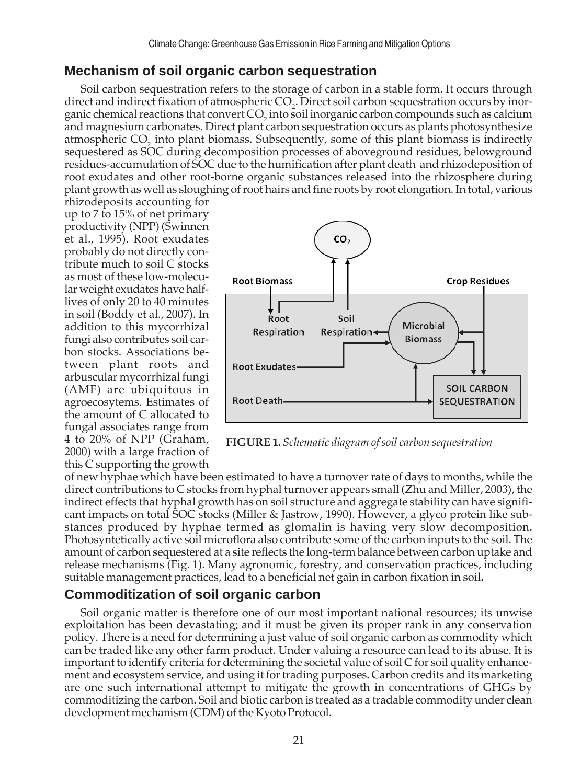## **Mechanism of soil organic carbon sequestration**

Soil carbon sequestration refers to the storage of carbon in a stable form. It occurs through direct and indirect fixation of atmospheric  $CO<sub>2</sub>$ . Direct soil carbon sequestration occurs by inorganic chemical reactions that convert  $\mathrm{CO}_2$  into soil inorganic carbon compounds such as calcium and magnesium carbonates. Direct plant carbon sequestration occurs as plants photosynthesize atmospheric  $CO_2$  into plant biomass. Subsequently, some of this plant biomass is indirectly sequestered as SOC during decomposition processes of aboveground residues, belowground residues-accumulation of SOC due to the humification after plant death and rhizodeposition of root exudates and other root-borne organic substances released into the rhizosphere during plant growth as well as sloughing of root hairs and fine roots by root elongation. In total, various

rhizodeposits accounting for up to 7 to 15% of net primary productivity (NPP) (Swinnen et al., 1995). Root exudates probably do not directly contribute much to soil C stocks as most of these low-molecular weight exudates have halflives of only 20 to 40 minutes in soil (Boddy et al., 2007). In addition to this mycorrhizal fungi also contributes soil carbon stocks. Associations between plant roots and arbuscular mycorrhizal fungi (AMF) are ubiquitous in agroecosytems. Estimates of the amount of C allocated to fungal associates range from 4 to 20% of NPP (Graham, 2000) with a large fraction of this C supporting the growth



**FIGURE 1.** *Schematic diagram of soil carbon sequestration*

of new hyphae which have been estimated to have a turnover rate of days to months, while the direct contributions to C stocks from hyphal turnover appears small (Zhu and Miller, 2003), the indirect effects that hyphal growth has on soil structure and aggregate stability can have significant impacts on total SOC stocks (Miller & Jastrow, 1990). However, a glyco protein like substances produced by hyphae termed as glomalin is having very slow decomposition. Photosyntetically active soil microflora also contribute some of the carbon inputs to the soil. The amount of carbon sequestered at a site reflects the long-term balance between carbon uptake and release mechanisms (Fig. 1). Many agronomic, forestry, and conservation practices, including suitable management practices, lead to a beneficial net gain in carbon fixation in soil**.**

## **Commoditization of soil organic carbon**

Soil organic matter is therefore one of our most important national resources; its unwise exploitation has been devastating; and it must be given its proper rank in any conservation policy. There is a need for determining a just value of soil organic carbon as commodity which can be traded like any other farm product. Under valuing a resource can lead to its abuse. It is important to identify criteria for determining the societal value of soil C for soil quality enhancement and ecosystem service, and using it for trading purposes**.** Carbon credits and its marketing are one such international attempt to mitigate the growth in concentrations of GHGs by commoditizing the carbon. Soil and biotic carbon is treated as a tradable commodity under clean development mechanism (CDM) of the Kyoto Protocol.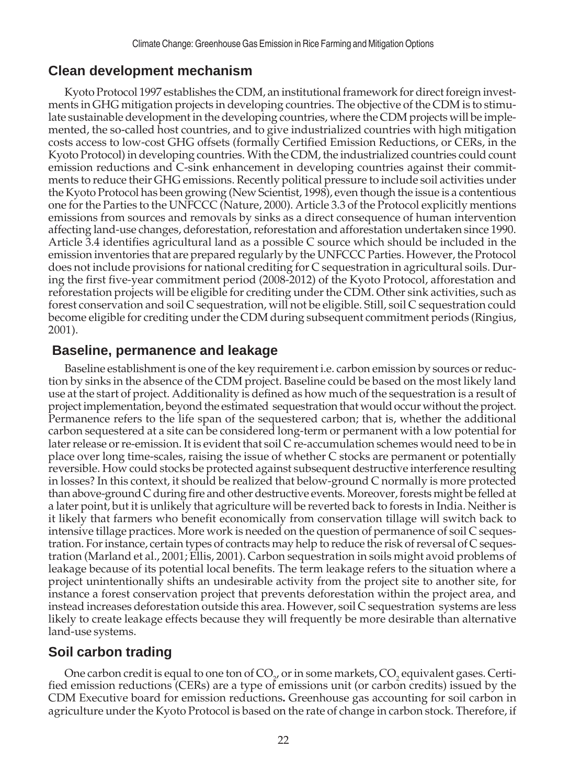#### **Clean development mechanism**

Kyoto Protocol 1997 establishes the CDM, an institutional framework for direct foreign investments in GHG mitigation projects in developing countries. The objective of the CDM is to stimulate sustainable development in the developing countries, where the CDM projects will be implemented, the so-called host countries, and to give industrialized countries with high mitigation costs access to low-cost GHG offsets (formally Certified Emission Reductions, or CERs, in the Kyoto Protocol) in developing countries. With the CDM, the industrialized countries could count emission reductions and C-sink enhancement in developing countries against their commitments to reduce their GHG emissions. Recently political pressure to include soil activities under the Kyoto Protocol has been growing (New Scientist, 1998), even though the issue is a contentious one for the Parties to the UNFCCC (Nature, 2000). Article 3.3 of the Protocol explicitly mentions emissions from sources and removals by sinks as a direct consequence of human intervention affecting land-use changes, deforestation, reforestation and afforestation undertaken since 1990. Article 3.4 identifies agricultural land as a possible C source which should be included in the emission inventories that are prepared regularly by the UNFCCC Parties. However, the Protocol does not include provisions for national crediting for C sequestration in agricultural soils. During the first five-year commitment period (2008-2012) of the Kyoto Protocol, afforestation and reforestation projects will be eligible for crediting under the CDM. Other sink activities, such as forest conservation and soil C sequestration, will not be eligible. Still, soil C sequestration could become eligible for crediting under the CDM during subsequent commitment periods (Ringius, 2001).

#### **Baseline, permanence and leakage**

Baseline establishment is one of the key requirement i.e. carbon emission by sources or reduction by sinks in the absence of the CDM project. Baseline could be based on the most likely land use at the start of project. Additionality is defined as how much of the sequestration is a result of project implementation, beyond the estimated sequestration that would occur without the project. Permanence refers to the life span of the sequestered carbon; that is, whether the additional carbon sequestered at a site can be considered long-term or permanent with a low potential for later release or re-emission. It is evident that soil C re-accumulation schemes would need to be in place over long time-scales, raising the issue of whether C stocks are permanent or potentially reversible. How could stocks be protected against subsequent destructive interference resulting in losses? In this context, it should be realized that below-ground C normally is more protected than above-ground C during fire and other destructive events. Moreover, forests might be felled at a later point, but it is unlikely that agriculture will be reverted back to forests in India. Neither is it likely that farmers who benefit economically from conservation tillage will switch back to intensive tillage practices. More work is needed on the question of permanence of soil C sequestration. For instance, certain types of contracts may help to reduce the risk of reversal of C sequestration (Marland et al., 2001; Ellis, 2001). Carbon sequestration in soils might avoid problems of leakage because of its potential local benefits. The term leakage refers to the situation where a project unintentionally shifts an undesirable activity from the project site to another site, for instance a forest conservation project that prevents deforestation within the project area, and instead increases deforestation outside this area. However, soil C sequestration systems are less likely to create leakage effects because they will frequently be more desirable than alternative land-use systems.

## **Soil carbon trading**

One carbon credit is equal to one ton of  $CO_{2'}$  or in some markets,  $CO_{2}$  equivalent gases. Certified emission reductions (CERs) are a type of emissions unit (or carbon credits) issued by the CDM Executive board for emission reductions**.** Greenhouse gas accounting for soil carbon in agriculture under the Kyoto Protocol is based on the rate of change in carbon stock. Therefore, if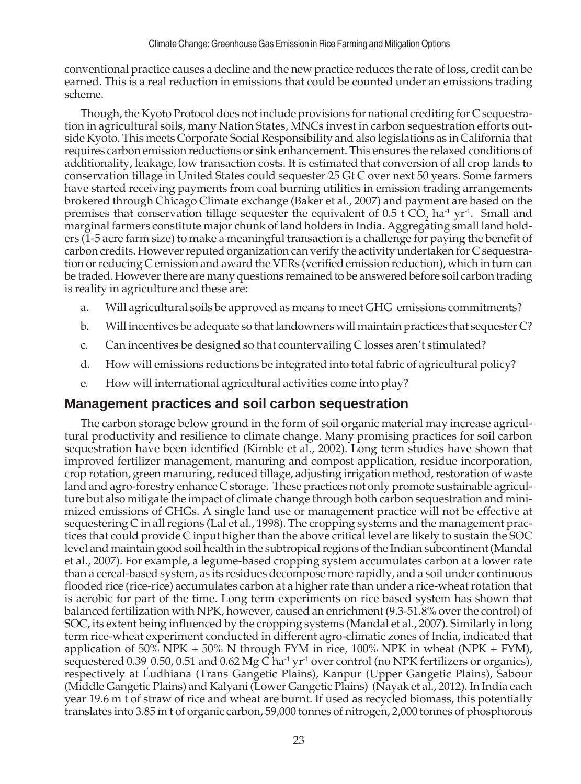conventional practice causes a decline and the new practice reduces the rate of loss, credit can be earned. This is a real reduction in emissions that could be counted under an emissions trading scheme.

Though, the Kyoto Protocol does not include provisions for national crediting for C sequestration in agricultural soils, many Nation States, MNCs invest in carbon sequestration efforts outside Kyoto. This meets Corporate Social Responsibility and also legislations as in California that requires carbon emission reductions or sink enhancement. This ensures the relaxed conditions of additionality, leakage, low transaction costs. It is estimated that conversion of all crop lands to conservation tillage in United States could sequester 25 Gt C over next 50 years. Some farmers have started receiving payments from coal burning utilities in emission trading arrangements brokered through Chicago Climate exchange (Baker et al., 2007) and payment are based on the premises that conservation tillage sequester the equivalent of  $0.5$  t CO<sub>2</sub> ha<sup>-1</sup> yr<sup>-1</sup>. Small and marginal farmers constitute major chunk of land holders in India. Aggregating small land holders (1-5 acre farm size) to make a meaningful transaction is a challenge for paying the benefit of carbon credits. However reputed organization can verify the activity undertaken for C sequestration or reducing C emission and award the VERs (verified emission reduction), which in turn can be traded. However there are many questions remained to be answered before soil carbon trading is reality in agriculture and these are:

- a. Will agricultural soils be approved as means to meet GHG emissions commitments?
- b. Will incentives be adequate so that landowners will maintain practices that sequester C?
- c. Can incentives be designed so that countervailing C losses aren't stimulated?
- d. How will emissions reductions be integrated into total fabric of agricultural policy?
- e. How will international agricultural activities come into play?

## **Management practices and soil carbon sequestration**

The carbon storage below ground in the form of soil organic material may increase agricultural productivity and resilience to climate change. Many promising practices for soil carbon sequestration have been identified (Kimble et al., 2002). Long term studies have shown that improved fertilizer management, manuring and compost application, residue incorporation, crop rotation, green manuring, reduced tillage, adjusting irrigation method, restoration of waste land and agro-forestry enhance C storage. These practices not only promote sustainable agriculture but also mitigate the impact of climate change through both carbon sequestration and minimized emissions of GHGs. A single land use or management practice will not be effective at sequestering C in all regions (Lal et al., 1998). The cropping systems and the management practices that could provide C input higher than the above critical level are likely to sustain the SOC level and maintain good soil health in the subtropical regions of the Indian subcontinent (Mandal et al., 2007). For example, a legume-based cropping system accumulates carbon at a lower rate than a cereal-based system, as its residues decompose more rapidly, and a soil under continuous flooded rice (rice-rice) accumulates carbon at a higher rate than under a rice-wheat rotation that is aerobic for part of the time. Long term experiments on rice based system has shown that balanced fertilization with NPK, however, caused an enrichment (9.3-51.8% over the control) of SOC, its extent being influenced by the cropping systems (Mandal et al., 2007). Similarly in long term rice-wheat experiment conducted in different agro-climatic zones of India, indicated that application of 50% NPK + 50% N through FYM in rice,  $100\%$  NPK in wheat (NPK + FYM), sequestered 0.39 0.50, 0.51 and 0.62 Mg C ha<sup>-1</sup> yr<sup>-1</sup> over control (no NPK fertilizers or organics), respectively at Ludhiana (Trans Gangetic Plains), Kanpur (Upper Gangetic Plains), Sabour (Middle Gangetic Plains) and Kalyani (Lower Gangetic Plains) (Nayak et al., 2012). In India each year 19.6 m t of straw of rice and wheat are burnt. If used as recycled biomass, this potentially translates into 3.85 m t of organic carbon, 59,000 tonnes of nitrogen, 2,000 tonnes of phosphorous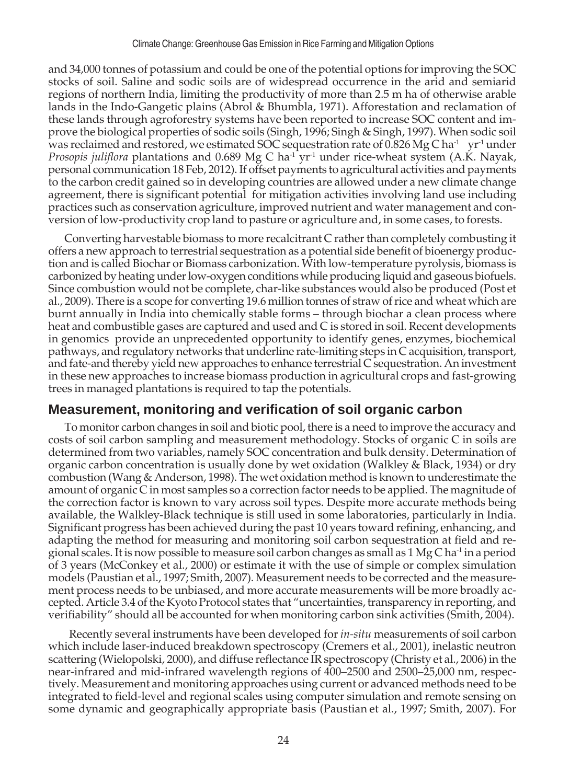and 34,000 tonnes of potassium and could be one of the potential options for improving the SOC stocks of soil. Saline and sodic soils are of widespread occurrence in the arid and semiarid regions of northern India, limiting the productivity of more than 2.5 m ha of otherwise arable lands in the Indo-Gangetic plains (Abrol & Bhumbla, 1971). Afforestation and reclamation of these lands through agroforestry systems have been reported to increase SOC content and improve the biological properties of sodic soils (Singh, 1996; Singh & Singh, 1997). When sodic soil was reclaimed and restored, we estimated SOC sequestration rate of 0.826 Mg C ha<sup>-1</sup> yr<sup>-1</sup> under *Prosopis juliflora* plantations and 0.689 Mg C ha<sup>-1</sup> yr<sup>-1</sup> under rice-wheat system (A.K. Nayak, personal communication 18 Feb, 2012). If offset payments to agricultural activities and payments to the carbon credit gained so in developing countries are allowed under a new climate change agreement, there is significant potential for mitigation activities involving land use including practices such as conservation agriculture, improved nutrient and water management and conversion of low-productivity crop land to pasture or agriculture and, in some cases, to forests.

Converting harvestable biomass to more recalcitrant C rather than completely combusting it offers a new approach to terrestrial sequestration as a potential side benefit of bioenergy production and is called Biochar or Biomass carbonization. With low-temperature pyrolysis, biomass is carbonized by heating under low-oxygen conditions while producing liquid and gaseous biofuels. Since combustion would not be complete, char-like substances would also be produced (Post et al., 2009). There is a scope for converting 19.6 million tonnes of straw of rice and wheat which are burnt annually in India into chemically stable forms – through biochar a clean process where heat and combustible gases are captured and used and C is stored in soil. Recent developments in genomics provide an unprecedented opportunity to identify genes, enzymes, biochemical pathways, and regulatory networks that underline rate-limiting steps in C acquisition, transport, and fate-and thereby yield new approaches to enhance terrestrial C sequestration. An investment in these new approaches to increase biomass production in agricultural crops and fast-growing trees in managed plantations is required to tap the potentials.

# **Measurement, monitoring and verification of soil organic carbon**

To monitor carbon changes in soil and biotic pool, there is a need to improve the accuracy and costs of soil carbon sampling and measurement methodology. Stocks of organic C in soils are determined from two variables, namely SOC concentration and bulk density. Determination of organic carbon concentration is usually done by wet oxidation (Walkley & Black, 1934) or dry combustion (Wang & Anderson, 1998). The wet oxidation method is known to underestimate the amount of organic C in most samples so a correction factor needs to be applied. The magnitude of the correction factor is known to vary across soil types. Despite more accurate methods being available, the Walkley-Black technique is still used in some laboratories, particularly in India. Significant progress has been achieved during the past 10 years toward refining, enhancing, and adapting the method for measuring and monitoring soil carbon sequestration at field and regional scales. It is now possible to measure soil carbon changes as small as  $1$  Mg C ha<sup>-1</sup> in a period of 3 years (McConkey et al., 2000) or estimate it with the use of simple or complex simulation models (Paustian et al., 1997; Smith, 2007). Measurement needs to be corrected and the measurement process needs to be unbiased, and more accurate measurements will be more broadly accepted. Article 3.4 of the Kyoto Protocol states that "uncertainties, transparency in reporting, and verifiability" should all be accounted for when monitoring carbon sink activities (Smith, 2004).

 Recently several instruments have been developed for *in-situ* measurements of soil carbon which include laser-induced breakdown spectroscopy (Cremers et al., 2001), inelastic neutron scattering (Wielopolski, 2000), and diffuse reflectance IR spectroscopy (Christy et al., 2006) in the near-infrared and mid-infrared wavelength regions of 400–2500 and 2500–25,000 nm, respectively. Measurement and monitoring approaches using current or advanced methods need to be integrated to field-level and regional scales using computer simulation and remote sensing on some dynamic and geographically appropriate basis (Paustian et al., 1997; Smith, 2007). For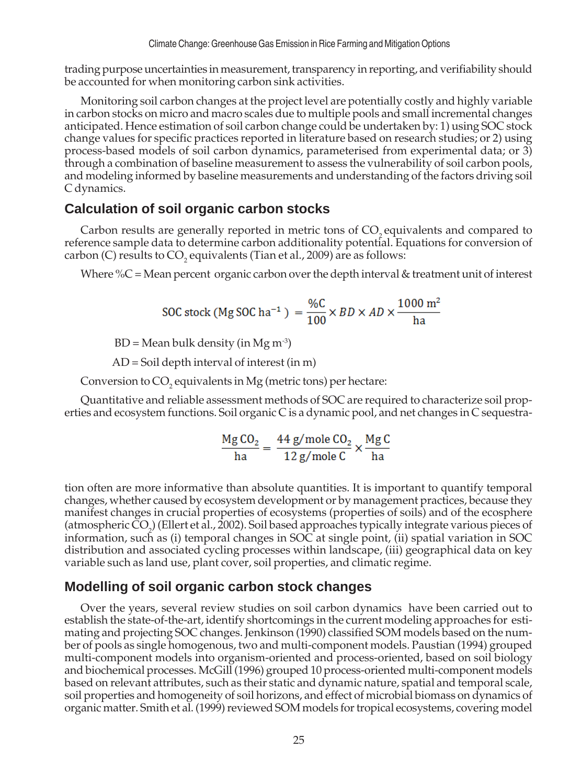trading purpose uncertainties in measurement, transparency in reporting, and verifiability should be accounted for when monitoring carbon sink activities.

Monitoring soil carbon changes at the project level are potentially costly and highly variable in carbon stocks on micro and macro scales due to multiple pools and small incremental changes anticipated. Hence estimation of soil carbon change could be undertaken by: 1) using SOC stock change values for specific practices reported in literature based on research studies; or 2) using process-based models of soil carbon dynamics, parameterised from experimental data; or 3) through a combination of baseline measurement to assess the vulnerability of soil carbon pools, and modeling informed by baseline measurements and understanding of the factors driving soil C dynamics.

#### **Calculation of soil organic carbon stocks**

Carbon results are generally reported in metric tons of  $CO<sub>2</sub>$  equivalents and compared to reference sample data to determine carbon additionality potential. Equations for conversion of carbon (C) results to  $\mathrm{CO}_2$  equivalents (Tian et al., 2009) are as follows:

Where  $\%C$  = Mean percent organic carbon over the depth interval & treatment unit of interest

$$
\text{SOC stock (Mg SOC ha}^{-1}) = \frac{\%C}{100} \times BD \times AD \times \frac{1000 \text{ m}^2}{\text{ha}}
$$

 $BD = Mean bulk density (in Mg m<sup>-3</sup>)$ 

AD = Soil depth interval of interest (in m)

Conversion to  $CO_2$  equivalents in Mg (metric tons) per hectare:

Quantitative and reliable assessment methods of SOC are required to characterize soil properties and ecosystem functions. Soil organic C is a dynamic pool, and net changes in C sequestra-

$$
\frac{\text{Mg CO}_2}{\text{ha}} = \frac{44 \text{ g/mole CO}_2}{12 \text{ g/mole C}} \times \frac{\text{Mg C}}{\text{ha}}
$$

tion often are more informative than absolute quantities. It is important to quantify temporal changes, whether caused by ecosystem development or by management practices, because they manifest changes in crucial properties of ecosystems (properties of soils) and of the ecosphere (atmospheric CO<sub>2</sub>) (Ellert et al., 2002). Soil based approaches typically integrate various pieces of information, such as (i) temporal changes in SOC at single point, (ii) spatial variation in SOC distribution and associated cycling processes within landscape, (iii) geographical data on key variable such as land use, plant cover, soil properties, and climatic regime.

#### **Modelling of soil organic carbon stock changes**

Over the years, several review studies on soil carbon dynamics have been carried out to establish the state-of-the-art, identify shortcomings in the current modeling approaches for estimating and projecting SOC changes. Jenkinson (1990) classified SOM models based on the number of pools as single homogenous, two and multi-component models. Paustian (1994) grouped multi-component models into organism-oriented and process-oriented, based on soil biology and biochemical processes. McGill (1996) grouped 10 process-oriented multi-component models based on relevant attributes, such as their static and dynamic nature, spatial and temporal scale, soil properties and homogeneity of soil horizons, and effect of microbial biomass on dynamics of organic matter. Smith et al. (1999) reviewed SOM models for tropical ecosystems, covering model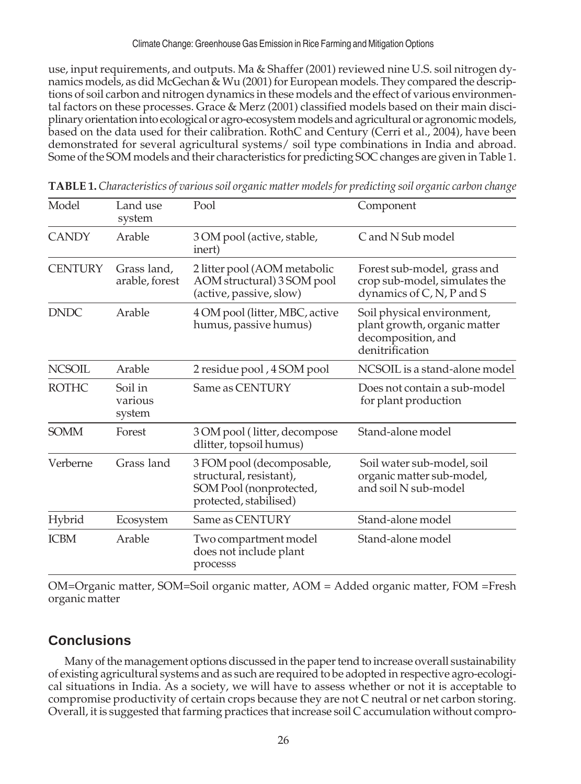use, input requirements, and outputs. Ma & Shaffer (2001) reviewed nine U.S. soil nitrogen dynamics models, as did McGechan & Wu (2001) for European models. They compared the descriptions of soil carbon and nitrogen dynamics in these models and the effect of various environmental factors on these processes. Grace & Merz (2001) classified models based on their main disciplinary orientation into ecological or agro-ecosystem models and agricultural or agronomic models, based on the data used for their calibration. RothC and Century (Cerri et al., 2004), have been demonstrated for several agricultural systems/ soil type combinations in India and abroad. Some of the SOM models and their characteristics for predicting SOC changes are given in Table 1.

| Model          | Land use<br>system            | Pool                                                                                                      | Component                                                                                           |
|----------------|-------------------------------|-----------------------------------------------------------------------------------------------------------|-----------------------------------------------------------------------------------------------------|
| <b>CANDY</b>   | Arable                        | 3 OM pool (active, stable,<br>inert)                                                                      | C and N Sub model                                                                                   |
| <b>CENTURY</b> | Grass land,<br>arable, forest | 2 litter pool (AOM metabolic<br>AOM structural) 3 SOM pool<br>(active, passive, slow)                     | Forest sub-model, grass and<br>crop sub-model, simulates the<br>dynamics of C, N, P and S           |
| <b>DNDC</b>    | Arable                        | 4 OM pool (litter, MBC, active<br>humus, passive humus)                                                   | Soil physical environment,<br>plant growth, organic matter<br>decomposition, and<br>denitrification |
| <b>NCSOIL</b>  | Arable                        | 2 residue pool, 4 SOM pool                                                                                | NCSOIL is a stand-alone model                                                                       |
| <b>ROTHC</b>   | Soil in<br>various<br>system  | Same as CENTURY                                                                                           | Does not contain a sub-model<br>for plant production                                                |
| <b>SOMM</b>    | Forest                        | 3 OM pool (litter, decompose<br>dlitter, topsoil humus)                                                   | Stand-alone model                                                                                   |
| Verberne       | Grass land                    | 3 FOM pool (decomposable,<br>structural, resistant),<br>SOM Pool (nonprotected,<br>protected, stabilised) | Soil water sub-model, soil<br>organic matter sub-model,<br>and soil N sub-model                     |
| Hybrid         | Ecosystem                     | Same as CENTURY                                                                                           | Stand-alone model                                                                                   |
| <b>ICBM</b>    | Arable                        | Two compartment model<br>does not include plant<br>processs                                               | Stand-alone model                                                                                   |

**TABLE 1.** *Characteristics of various soil organic matter models for predicting soil organic carbon change*

OM=Organic matter, SOM=Soil organic matter, AOM = Added organic matter, FOM =Fresh organic matter

# **Conclusions**

Many of the management options discussed in the paper tend to increase overall sustainability of existing agricultural systems and as such are required to be adopted in respective agro-ecological situations in India. As a society, we will have to assess whether or not it is acceptable to compromise productivity of certain crops because they are not C neutral or net carbon storing. Overall, it is suggested that farming practices that increase soil C accumulation without compro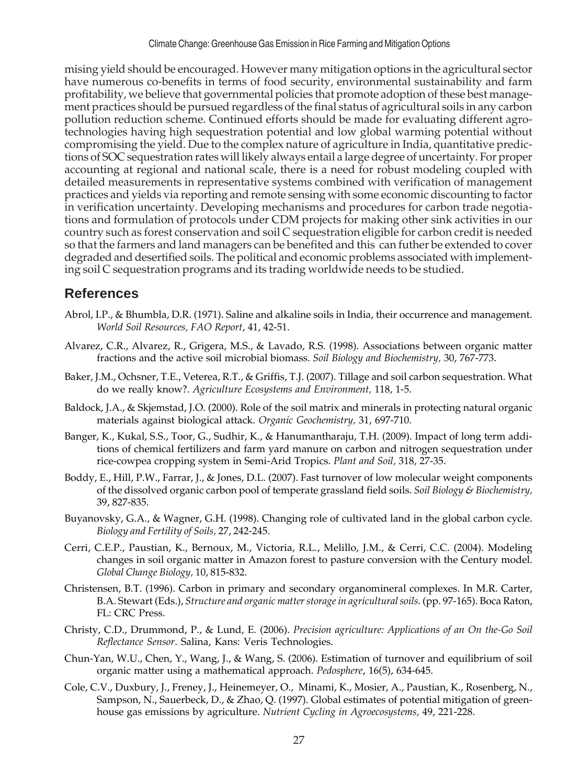mising yield should be encouraged. However many mitigation options in the agricultural sector have numerous co-benefits in terms of food security, environmental sustainability and farm profitability, we believe that governmental policies that promote adoption of these best management practices should be pursued regardless of the final status of agricultural soils in any carbon pollution reduction scheme. Continued efforts should be made for evaluating different agrotechnologies having high sequestration potential and low global warming potential without compromising the yield. Due to the complex nature of agriculture in India, quantitative predictions of SOC sequestration rates will likely always entail a large degree of uncertainty. For proper accounting at regional and national scale, there is a need for robust modeling coupled with detailed measurements in representative systems combined with verification of management practices and yields via reporting and remote sensing with some economic discounting to factor in verification uncertainty. Developing mechanisms and procedures for carbon trade negotiations and formulation of protocols under CDM projects for making other sink activities in our country such as forest conservation and soil C sequestration eligible for carbon credit is needed so that the farmers and land managers can be benefited and this can futher be extended to cover degraded and desertified soils. The political and economic problems associated with implementing soil C sequestration programs and its trading worldwide needs to be studied.

# **References**

- Abrol, I.P., & Bhumbla, D.R. (1971). Saline and alkaline soils in India, their occurrence and management. *World Soil Resources, FAO Report*, 41, 42-51.
- Alvarez, C.R., Alvarez, R., Grigera, M.S., & Lavado, R.S. (1998). Associations between organic matter fractions and the active soil microbial biomass. *Soil Biology and Biochemistry,* 30, 767-773.
- Baker, J.M., Ochsner, T.E., Veterea, R.T., & Griffis, T.J. (2007). Tillage and soil carbon sequestration. What do we really know?. *Agriculture Ecosystems and Environment,* 118, 1-5.
- Baldock, J.A., & Skjemstad, J.O. (2000). Role of the soil matrix and minerals in protecting natural organic materials against biological attack. *Organic Geochemistry,* 31, 697-710.
- Banger, K., Kukal, S.S., Toor, G., Sudhir, K., & Hanumantharaju, T.H. (2009). Impact of long term additions of chemical fertilizers and farm yard manure on carbon and nitrogen sequestration under rice-cowpea cropping system in Semi-Arid Tropics. *Plant and Soil,* 318, 27-35.
- Boddy, E., Hill, P.W., Farrar, J., & Jones, D.L. (2007). Fast turnover of low molecular weight components of the dissolved organic carbon pool of temperate grassland field soils. *Soil Biology & Biochemistry,* 39, 827-835.
- Buyanovsky, G.A., & Wagner, G.H. (1998). Changing role of cultivated land in the global carbon cycle. *Biology and Fertility of Soils,* 27, 242-245.
- Cerri, C.E.P., Paustian, K., Bernoux, M., Victoria, R.L., Melillo, J.M., & Cerri, C.C. (2004). Modeling changes in soil organic matter in Amazon forest to pasture conversion with the Century model. *Global Change Biology,* 10, 815-832.
- Christensen, B.T. (1996). Carbon in primary and secondary organomineral complexes. In M.R. Carter, B.A. Stewart (Eds.), *Structure and organic matter storage in agricultural soils.* (pp. 97-165). Boca Raton, FL: CRC Press.
- Christy, C.D., Drummond, P., & Lund, E. (2006). *Precision agriculture: Applications of an On the-Go Soil Reflectance Sensor*. Salina, Kans: Veris Technologies.
- Chun-Yan, W.U., Chen, Y., Wang, J., & Wang, S. (2006). Estimation of turnover and equilibrium of soil organic matter using a mathematical approach. *Pedosphere*, 16(5), 634-645.
- Cole, C.V., Duxbury, J., Freney, J., Heinemeyer, O., Minami, K., Mosier, A., Paustian, K., Rosenberg, N., Sampson, N., Sauerbeck, D., & Zhao, Q. (1997). Global estimates of potential mitigation of greenhouse gas emissions by agriculture. *Nutrient Cycling in Agroecosystems,* 49, 221-228.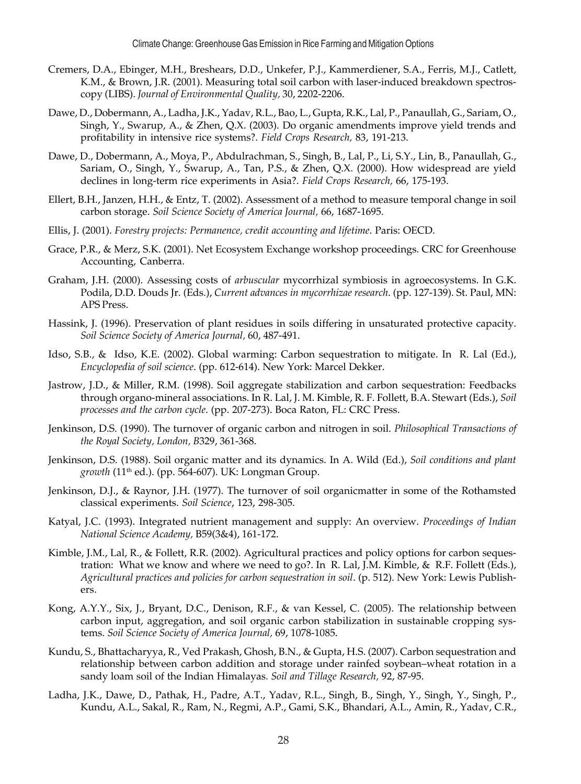- Cremers, D.A., Ebinger, M.H., Breshears, D.D., Unkefer, P.J., Kammerdiener, S.A., Ferris, M.J., Catlett, K.M., & Brown, J.R. (2001). Measuring total soil carbon with laser-induced breakdown spectroscopy (LIBS). *Journal of Environmental Quality,* 30, 2202-2206.
- Dawe, D., Dobermann, A., Ladha, J.K., Yadav, R.L., Bao, L., Gupta, R.K., Lal, P., Panaullah, G., Sariam, O., Singh, Y., Swarup, A., & Zhen, Q.X. (2003). Do organic amendments improve yield trends and profitability in intensive rice systems?. *Field Crops Research,* 83, 191-213.
- Dawe, D., Dobermann, A., Moya, P., Abdulrachman, S., Singh, B., Lal, P., Li, S.Y., Lin, B., Panaullah, G., Sariam, O., Singh, Y., Swarup, A., Tan, P.S., & Zhen, Q.X. (2000). How widespread are yield declines in long-term rice experiments in Asia?. *Field Crops Research,* 66, 175-193.
- Ellert, B.H., Janzen, H.H., & Entz, T. (2002). Assessment of a method to measure temporal change in soil carbon storage. *Soil Science Society of America Journal,* 66, 1687-1695.
- Ellis, J. (2001). *Forestry projects: Permanence, credit accounting and lifetime*. Paris: OECD.
- Grace, P.R., & Merz, S.K. (2001). Net Ecosystem Exchange workshop proceedings. CRC for Greenhouse Accounting, Canberra.
- Graham, J.H. (2000). Assessing costs of *arbuscular* mycorrhizal symbiosis in agroecosystems. In G.K. Podila, D.D. Douds Jr. (Eds.), *Current advances in mycorrhizae research*. (pp. 127-139). St. Paul, MN: APS Press.
- Hassink, J. (1996). Preservation of plant residues in soils differing in unsaturated protective capacity. *Soil Science Society of America Journal,* 60, 487-491.
- Idso, S.B., & Idso, K.E. (2002). Global warming: Carbon sequestration to mitigate. In R. Lal (Ed.), *Encyclopedia of soil science*. (pp. 612-614). New York: Marcel Dekker.
- Jastrow, J.D., & Miller, R.M. (1998). Soil aggregate stabilization and carbon sequestration: Feedbacks through organo-mineral associations. In R. Lal, J. M. Kimble, R. F. Follett, B.A. Stewart (Eds.), *Soil processes and the carbon cycle*. (pp. 207-273). Boca Raton, FL: CRC Press.
- Jenkinson, D.S. (1990). The turnover of organic carbon and nitrogen in soil. *Philosophical Transactions of the Royal Society, London, B*329, 361-368.
- Jenkinson, D.S. (1988). Soil organic matter and its dynamics. In A. Wild (Ed.), *Soil conditions and plant growth* (11th ed.). (pp. 564-607). UK: Longman Group.
- Jenkinson, D.J., & Raynor, J.H. (1977). The turnover of soil organicmatter in some of the Rothamsted classical experiments. *Soil Science*, 123, 298-305.
- Katyal, J.C. (1993). Integrated nutrient management and supply: An overview. *Proceedings of Indian National Science Academy,* B59(3&4), 161-172.
- Kimble, J.M., Lal, R., & Follett, R.R. (2002). Agricultural practices and policy options for carbon sequestration: What we know and where we need to go?. In R. Lal, J.M. Kimble, & R.F. Follett (Eds.), *Agricultural practices and policies for carbon sequestration in soil*. (p. 512). New York: Lewis Publishers.
- Kong, A.Y.Y., Six, J., Bryant, D.C., Denison, R.F., & van Kessel, C. (2005). The relationship between carbon input, aggregation, and soil organic carbon stabilization in sustainable cropping systems. *Soil Science Society of America Journal,* 69, 1078-1085.
- Kundu, S., Bhattacharyya, R., Ved Prakash, Ghosh, B.N., & Gupta, H.S. (2007). Carbon sequestration and relationship between carbon addition and storage under rainfed soybean–wheat rotation in a sandy loam soil of the Indian Himalayas. *Soil and Tillage Research,* 92, 87-95.
- Ladha, J.K., Dawe, D., Pathak, H., Padre, A.T., Yadav, R.L., Singh, B., Singh, Y., Singh, Y., Singh, P., Kundu, A.L., Sakal, R., Ram, N., Regmi, A.P., Gami, S.K., Bhandari, A.L., Amin, R., Yadav, C.R.,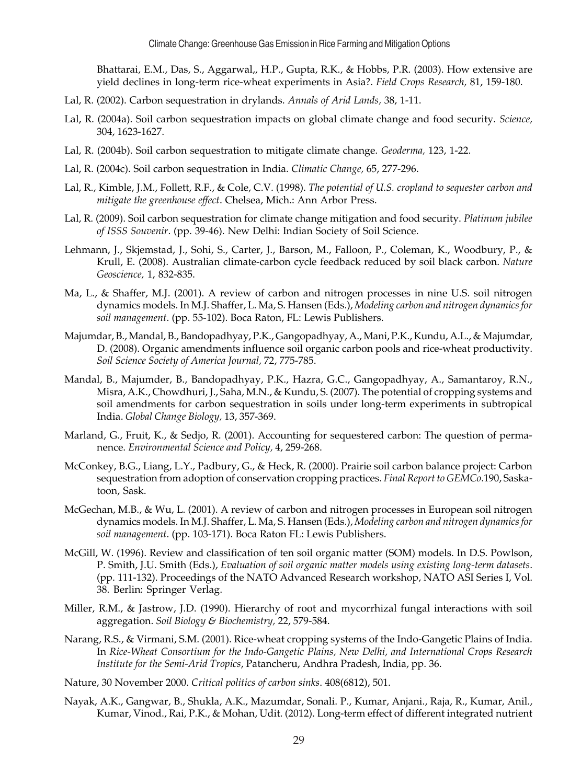Bhattarai, E.M., Das, S., Aggarwal,, H.P., Gupta, R.K., & Hobbs, P.R. (2003). How extensive are yield declines in long-term rice-wheat experiments in Asia?. *Field Crops Research,* 81, 159-180.

- Lal, R. (2002). Carbon sequestration in drylands. *Annals of Arid Lands,* 38, 1-11.
- Lal, R. (2004a). Soil carbon sequestration impacts on global climate change and food security. *Science,* 304, 1623-1627.
- Lal, R. (2004b). Soil carbon sequestration to mitigate climate change. *Geoderma,* 123, 1-22.
- Lal, R. (2004c). Soil carbon sequestration in India. *Climatic Change,* 65, 277-296.
- Lal, R., Kimble, J.M., Follett, R.F., & Cole, C.V. (1998). *The potential of U.S. cropland to sequester carbon and mitigate the greenhouse effect*. Chelsea, Mich.: Ann Arbor Press.
- Lal, R. (2009). Soil carbon sequestration for climate change mitigation and food security. *Platinum jubilee of ISSS Souvenir*. (pp. 39-46). New Delhi: Indian Society of Soil Science.
- Lehmann, J., Skjemstad, J., Sohi, S., Carter, J., Barson, M., Falloon, P., Coleman, K., Woodbury, P., & Krull, E. (2008). Australian climate-carbon cycle feedback reduced by soil black carbon. *Nature Geoscience,* 1, 832-835.
- Ma, L., & Shaffer, M.J. (2001). A review of carbon and nitrogen processes in nine U.S. soil nitrogen dynamics models. In M.J. Shaffer, L. Ma, S. Hansen (Eds.), *Modeling carbon and nitrogen dynamics for soil management*. (pp. 55-102). Boca Raton, FL: Lewis Publishers.
- Majumdar, B., Mandal, B., Bandopadhyay, P.K., Gangopadhyay, A., Mani, P.K., Kundu, A.L., & Majumdar, D. (2008). Organic amendments influence soil organic carbon pools and rice-wheat productivity. *Soil Science Society of America Journal,* 72, 775-785.
- Mandal, B., Majumder, B., Bandopadhyay, P.K., Hazra, G.C., Gangopadhyay, A., Samantaroy, R.N., Misra, A.K., Chowdhuri, J., Saha, M.N., & Kundu, S. (2007). The potential of cropping systems and soil amendments for carbon sequestration in soils under long-term experiments in subtropical India. *Global Change Biology,* 13, 357-369.
- Marland, G., Fruit, K., & Sedjo, R. (2001). Accounting for sequestered carbon: The question of permanence. *Environmental Science and Policy,* 4, 259-268.
- McConkey, B.G., Liang, L.Y., Padbury, G., & Heck, R. (2000). Prairie soil carbon balance project: Carbon sequestration from adoption of conservation cropping practices. *Final Report to GEMCo*.190, Saskatoon, Sask.
- McGechan, M.B., & Wu, L. (2001). A review of carbon and nitrogen processes in European soil nitrogen dynamics models. In M.J. Shaffer, L. Ma, S. Hansen (Eds.), *Modeling carbon and nitrogen dynamics for soil management*. (pp. 103-171). Boca Raton FL: Lewis Publishers.
- McGill, W. (1996). Review and classification of ten soil organic matter (SOM) models. In D.S. Powlson, P. Smith, J.U. Smith (Eds.), *Evaluation of soil organic matter models using existing long-term datasets*. (pp. 111-132). Proceedings of the NATO Advanced Research workshop, NATO ASI Series I, Vol. 38. Berlin: Springer Verlag.
- Miller, R.M., & Jastrow, J.D. (1990). Hierarchy of root and mycorrhizal fungal interactions with soil aggregation. *Soil Biology & Biochemistry,* 22, 579-584.
- Narang, R.S., & Virmani, S.M. (2001). Rice-wheat cropping systems of the Indo-Gangetic Plains of India. In *Rice-Wheat Consortium for the Indo-Gangetic Plains, New Delhi, and International Crops Research Institute for the Semi-Arid Tropics*, Patancheru, Andhra Pradesh, India, pp. 36.
- Nature, 30 November 2000. *Critical politics of carbon sinks*. 408(6812), 501.
- Nayak, A.K., Gangwar, B., Shukla, A.K., Mazumdar, Sonali. P., Kumar, Anjani., Raja, R., Kumar, Anil., Kumar, Vinod., Rai, P.K., & Mohan, Udit. (2012). Long-term effect of different integrated nutrient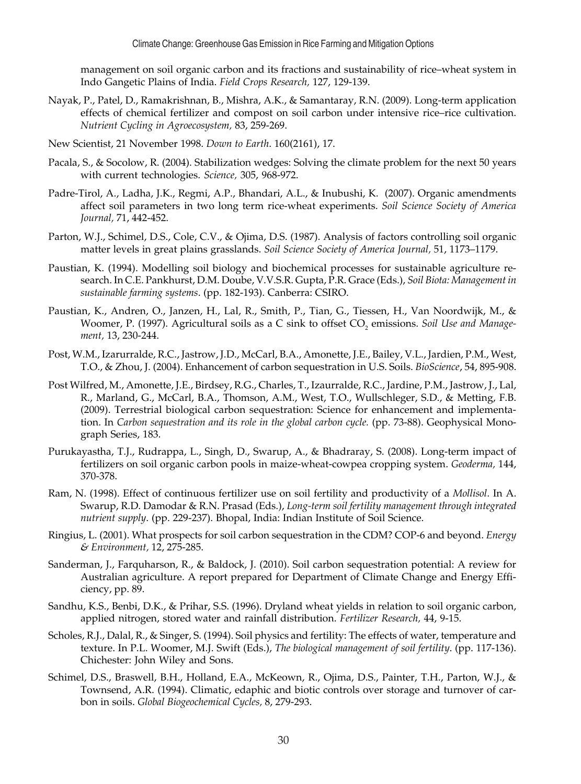management on soil organic carbon and its fractions and sustainability of rice–wheat system in Indo Gangetic Plains of India. *Field Crops Research,* 127, 129-139.

- Nayak, P., Patel, D., Ramakrishnan, B., Mishra, A.K., & Samantaray, R.N. (2009). Long-term application effects of chemical fertilizer and compost on soil carbon under intensive rice–rice cultivation. *Nutrient Cycling in Agroecosystem,* 83, 259-269.
- New Scientist, 21 November 1998. *Down to Earth*. 160(2161), 17.
- Pacala, S., & Socolow, R. (2004). Stabilization wedges: Solving the climate problem for the next 50 years with current technologies. *Science,* 305, 968-972.
- Padre-Tirol, A., Ladha, J.K., Regmi, A.P., Bhandari, A.L., & Inubushi, K. (2007). Organic amendments affect soil parameters in two long term rice-wheat experiments. *Soil Science Society of America Journal,* 71, 442-452.
- Parton, W.J., Schimel, D.S., Cole, C.V., & Ojima, D.S. (1987). Analysis of factors controlling soil organic matter levels in great plains grasslands. *Soil Science Society of America Journal,* 51, 1173–1179.
- Paustian, K. (1994). Modelling soil biology and biochemical processes for sustainable agriculture research. In C.E. Pankhurst, D.M. Doube, V.V.S.R. Gupta, P.R. Grace (Eds.), *Soil Biota: Management in sustainable farming systems*. (pp. 182-193). Canberra: CSIRO.
- Paustian, K., Andren, O., Janzen, H., Lal, R., Smith, P., Tian, G., Tiessen, H., Van Noordwijk, M., & Woomer, P. (1997). Agricultural soils as a C sink to offset CO<sub>2</sub> emissions. *Soil Use and Management,* 13, 230-244.
- Post, W.M., Izarurralde, R.C., Jastrow, J.D., McCarl, B.A., Amonette, J.E., Bailey, V.L., Jardien, P.M., West, T.O., & Zhou, J. (2004). Enhancement of carbon sequestration in U.S. Soils. *BioScience*, 54, 895-908.
- Post Wilfred, M., Amonette, J.E., Birdsey, R.G., Charles, T., Izaurralde, R.C., Jardine, P.M., Jastrow, J., Lal, R., Marland, G., McCarl, B.A., Thomson, A.M., West, T.O., Wullschleger, S.D., & Metting, F.B. (2009). Terrestrial biological carbon sequestration: Science for enhancement and implementation. In *Carbon sequestration and its role in the global carbon cycle.* (pp. 73-88). Geophysical Monograph Series, 183.
- Purukayastha, T.J., Rudrappa, L., Singh, D., Swarup, A., & Bhadraray, S. (2008). Long-term impact of fertilizers on soil organic carbon pools in maize-wheat-cowpea cropping system. *Geoderma,* 144, 370-378.
- Ram, N. (1998). Effect of continuous fertilizer use on soil fertility and productivity of a *Mollisol*. In A. Swarup, R.D. Damodar & R.N. Prasad (Eds.), *Long-term soil fertility management through integrated nutrient supply*. (pp. 229-237). Bhopal, India: Indian Institute of Soil Science.
- Ringius, L. (2001). What prospects for soil carbon sequestration in the CDM? COP-6 and beyond. *Energy & Environment,* 12, 275-285.
- Sanderman, J., Farquharson, R., & Baldock, J. (2010). Soil carbon sequestration potential: A review for Australian agriculture. A report prepared for Department of Climate Change and Energy Efficiency, pp. 89.
- Sandhu, K.S., Benbi, D.K., & Prihar, S.S. (1996). Dryland wheat yields in relation to soil organic carbon, applied nitrogen, stored water and rainfall distribution. *Fertilizer Research,* 44, 9-15.
- Scholes, R.J., Dalal, R., & Singer, S. (1994). Soil physics and fertility: The effects of water, temperature and texture. In P.L. Woomer, M.J. Swift (Eds.), *The biological management of soil fertility*. (pp. 117-136). Chichester: John Wiley and Sons.
- Schimel, D.S., Braswell, B.H., Holland, E.A., McKeown, R., Ojima, D.S., Painter, T.H., Parton, W.J., & Townsend, A.R. (1994). Climatic, edaphic and biotic controls over storage and turnover of carbon in soils. *Global Biogeochemical Cycles,* 8, 279-293.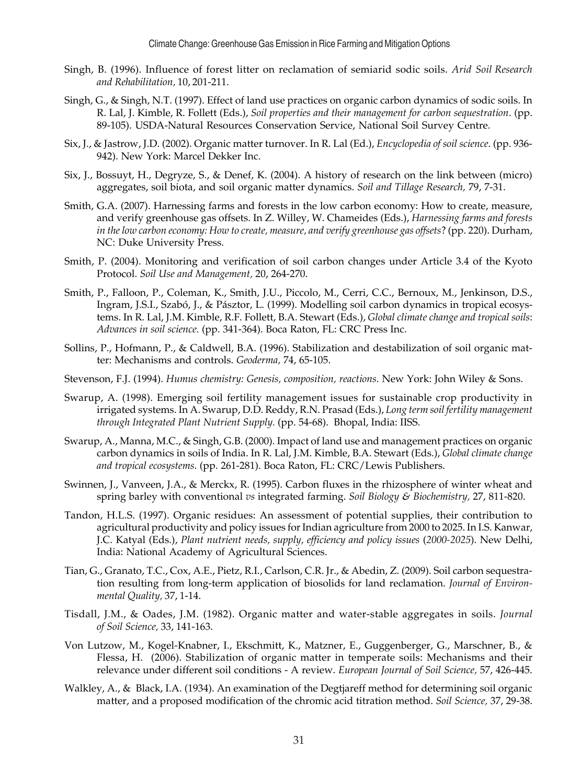- Singh, B. (1996). Influence of forest litter on reclamation of semiarid sodic soils. *Arid Soil Research and Rehabilitation,* 10, 201-211.
- Singh, G., & Singh, N.T. (1997). Effect of land use practices on organic carbon dynamics of sodic soils. In R. Lal, J. Kimble, R. Follett (Eds.), *Soil properties and their management for carbon sequestration*. (pp. 89-105). USDA-Natural Resources Conservation Service, National Soil Survey Centre.
- Six, J., & Jastrow, J.D. (2002). Organic matter turnover. In R. Lal (Ed.), *Encyclopedia of soil science*. (pp. 936- 942). New York: Marcel Dekker Inc.
- Six, J., Bossuyt, H., Degryze, S., & Denef, K. (2004). A history of research on the link between (micro) aggregates, soil biota, and soil organic matter dynamics. *Soil and Tillage Research,* 79, 7-31.
- Smith, G.A. (2007). Harnessing farms and forests in the low carbon economy: How to create, measure, and verify greenhouse gas offsets. In Z. Willey, W. Chameides (Eds.), *Harnessing farms and forests in the low carbon economy: How to create, measure, and verify greenhouse gas offsets*? (pp. 220). Durham, NC: Duke University Press.
- Smith, P. (2004). Monitoring and verification of soil carbon changes under Article 3.4 of the Kyoto Protocol. *Soil Use and Management,* 20, 264-270.
- Smith, P., Falloon, P., Coleman, K., Smith, J.U., Piccolo, M., Cerri, C.C., Bernoux, M., Jenkinson, D.S., Ingram, J.S.I., Szabó, J., & Pásztor, L. (1999). Modelling soil carbon dynamics in tropical ecosystems. In R. Lal, J.M. Kimble, R.F. Follett, B.A. Stewart (Eds.), *Global climate change and tropical soils*: *Advances in soil science.* (pp. 341-364). Boca Raton, FL: CRC Press Inc.
- Sollins, P., Hofmann, P., & Caldwell, B.A. (1996). Stabilization and destabilization of soil organic matter: Mechanisms and controls. *Geoderma,* 74, 65-105.
- Stevenson, F.J. (1994). *Humus chemistry: Genesis, composition, reactions*. New York: John Wiley & Sons.
- Swarup, A. (1998). Emerging soil fertility management issues for sustainable crop productivity in irrigated systems. In A. Swarup, D.D. Reddy, R.N. Prasad (Eds.), *Long term soil fertility management through Integrated Plant Nutrient Supply.* (pp. 54-68). Bhopal, India: IISS.
- Swarup, A., Manna, M.C., & Singh, G.B. (2000). Impact of land use and management practices on organic carbon dynamics in soils of India. In R. Lal, J.M. Kimble, B.A. Stewart (Eds.), *Global climate change and tropical ecosystems*. (pp. 261-281). Boca Raton, FL: CRC/Lewis Publishers.
- Swinnen, J., Vanveen, J.A., & Merckx, R. (1995). Carbon fluxes in the rhizosphere of winter wheat and spring barley with conventional *vs* integrated farming. *Soil Biology & Biochemistry,* 27, 811-820.
- Tandon, H.L.S. (1997). Organic residues: An assessment of potential supplies, their contribution to agricultural productivity and policy issues for Indian agriculture from 2000 to 2025. In I.S. Kanwar, J.C. Katyal (Eds.), *Plant nutrient needs, supply, efficiency and policy issues (2000-2025*). New Delhi, India: National Academy of Agricultural Sciences.
- Tian, G., Granato, T.C., Cox, A.E., Pietz, R.I., Carlson, C.R. Jr., & Abedin, Z. (2009). Soil carbon sequestration resulting from long-term application of biosolids for land reclamation. *Journal of Environmental Quality,* 37, 1-14.
- Tisdall, J.M., & Oades, J.M. (1982). Organic matter and water-stable aggregates in soils. *Journal of Soil Science,* 33, 141-163.
- Von Lutzow, M., Kogel-Knabner, I., Ekschmitt, K., Matzner, E., Guggenberger, G., Marschner, B., & Flessa, H. (2006). Stabilization of organic matter in temperate soils: Mechanisms and their relevance under different soil conditions - A review. *European Journal of Soil Science,* 57, 426-445.
- Walkley, A., & Black, I.A. (1934). An examination of the Degtjareff method for determining soil organic matter, and a proposed modification of the chromic acid titration method. *Soil Science,* 37, 29-38.